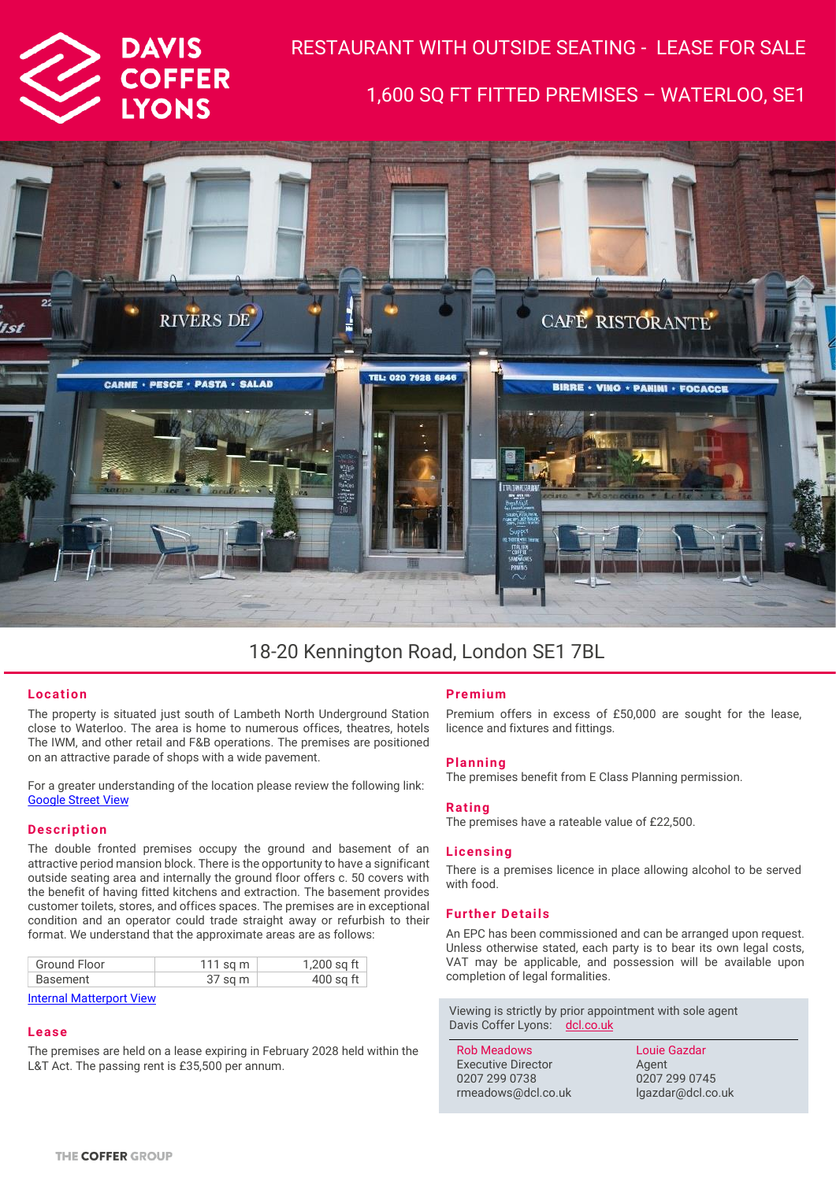

# RESTAURANT WITH OUTSIDE SEATING - LEASE FOR SALE 1,600 SQ FT FITTED PREMISES – WATERLOO, SE1



### 18-20 Kennington Road, London SE1 7BL

#### **Location**

The property is situated just south of Lambeth North Underground Station close to Waterloo. The area is home to numerous offices, theatres, hotels The IWM, and other retail and F&B operations. The premises are positioned on an attractive parade of shops with a wide pavement.

For a greater understanding of the location please review the following link: [Google Street View](https://www.google.com/maps/@51.4977649,-0.1120756,2a,75y,253.34h,101.03t/data=!3m6!1e1!3m4!1su0AgBN1Dc5f_91ydbKcjyQ!2e0!7i13312!8i6656?hl=en) 

#### **Description**

The double fronted premises occupy the ground and basement of an attractive period mansion block. There is the opportunity to have a significant outside seating area and internally the ground floor offers c. 50 covers with the benefit of having fitted kitchens and extraction. The basement provides customer toilets, stores, and offices spaces. The premises are in exceptional condition and an operator could trade straight away or refurbish to their format. We understand that the approximate areas are as follows:

| Ground Floor | 111 sq m | 1,200 sq ft |
|--------------|----------|-------------|
| Basement     | 37 sq m  | $400$ sq ft |

[Internal Matterport View](https://www.google.com/maps/@51.4977184,-0.1123072,2a,75y,125.76h,81.07t/data=!3m6!1e1!3m4!1sYM5bejE-9iB6lUZvgAeCvA!2e0!7i13312!8i6656?hl=en)

#### **Lease**

The premises are held on a lease expiring in February 2028 held within the L&T Act. The passing rent is £35,500 per annum.

#### **Pre mium**

Premium offers in excess of £50,000 are sought for the lease, licence and fixtures and fittings.

#### **Planning**

The premises benefit from E Class Planning permission.

#### **Rating**

The premises have a rateable value of £22,500.

#### **Licensing**

There is a premises licence in place allowing alcohol to be served with food.

#### **Further Details**

An EPC has been commissioned and can be arranged upon request. Unless otherwise stated, each party is to bear its own legal costs, VAT may be applicable, and possession will be available upon completion of legal formalities.

Viewing is strictly by prior appointment with sole agent Davis Coffer Lyons: [dcl.co.uk](http://www.dcl.co.uk/)

| <b>Rob Meadows</b>        | Louie Gazdar      |
|---------------------------|-------------------|
| <b>Executive Director</b> | Agent             |
| 0207 299 0738             | 0207 299 0745     |
| rmeadows@dcl.co.uk        | lgazdar@dcl.co.uk |